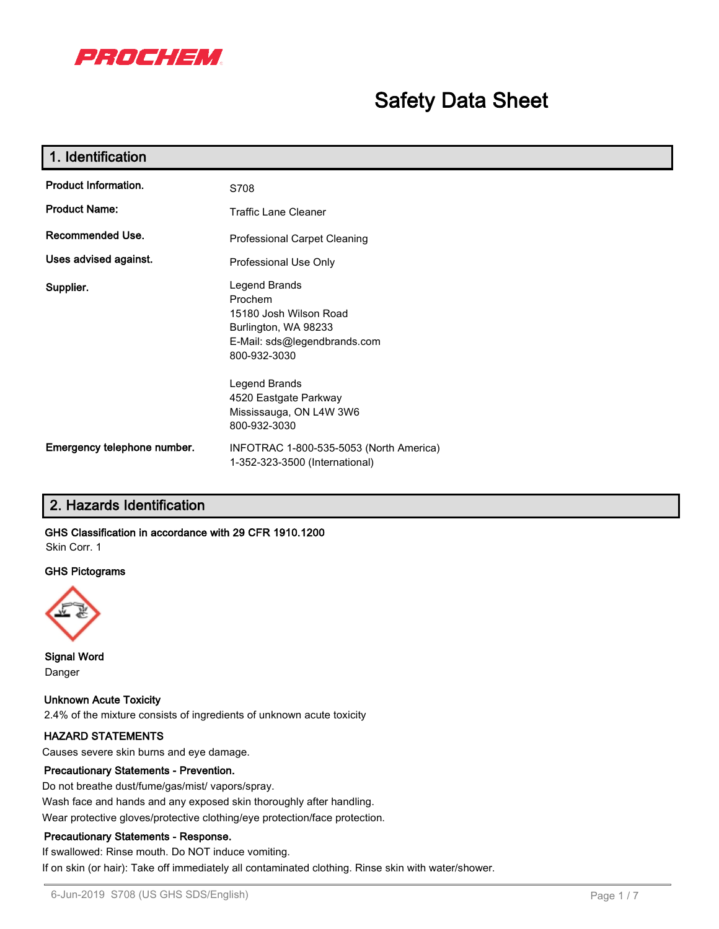

# **Safety Data Sheet**

| 1. Identification           |                                                                                                                            |  |  |
|-----------------------------|----------------------------------------------------------------------------------------------------------------------------|--|--|
| <b>Product Information.</b> | S708                                                                                                                       |  |  |
| <b>Product Name:</b>        | <b>Traffic Lane Cleaner</b>                                                                                                |  |  |
| Recommended Use.            | <b>Professional Carpet Cleaning</b>                                                                                        |  |  |
| Uses advised against.       | Professional Use Only                                                                                                      |  |  |
| Supplier.                   | Legend Brands<br>Prochem<br>15180 Josh Wilson Road<br>Burlington, WA 98233<br>E-Mail: sds@legendbrands.com<br>800-932-3030 |  |  |
|                             | Legend Brands<br>4520 Eastgate Parkway<br>Mississauga, ON L4W 3W6<br>800-932-3030                                          |  |  |
| Emergency telephone number. | INFOTRAC 1-800-535-5053 (North America)<br>1-352-323-3500 (International)                                                  |  |  |

# **2. Hazards Identification**

# **GHS Classification in accordance with 29 CFR 1910.1200**

Skin Corr. 1

#### **GHS Pictograms**



**Signal Word** Danger

**Unknown Acute Toxicity** 2.4% of the mixture consists of ingredients of unknown acute toxicity

# **HAZARD STATEMENTS**

Causes severe skin burns and eye damage.

# **Precautionary Statements - Prevention.**

Do not breathe dust/fume/gas/mist/ vapors/spray. Wash face and hands and any exposed skin thoroughly after handling. Wear protective gloves/protective clothing/eye protection/face protection.

#### **Precautionary Statements - Response.**

If swallowed: Rinse mouth. Do NOT induce vomiting. If on skin (or hair): Take off immediately all contaminated clothing. Rinse skin with water/shower.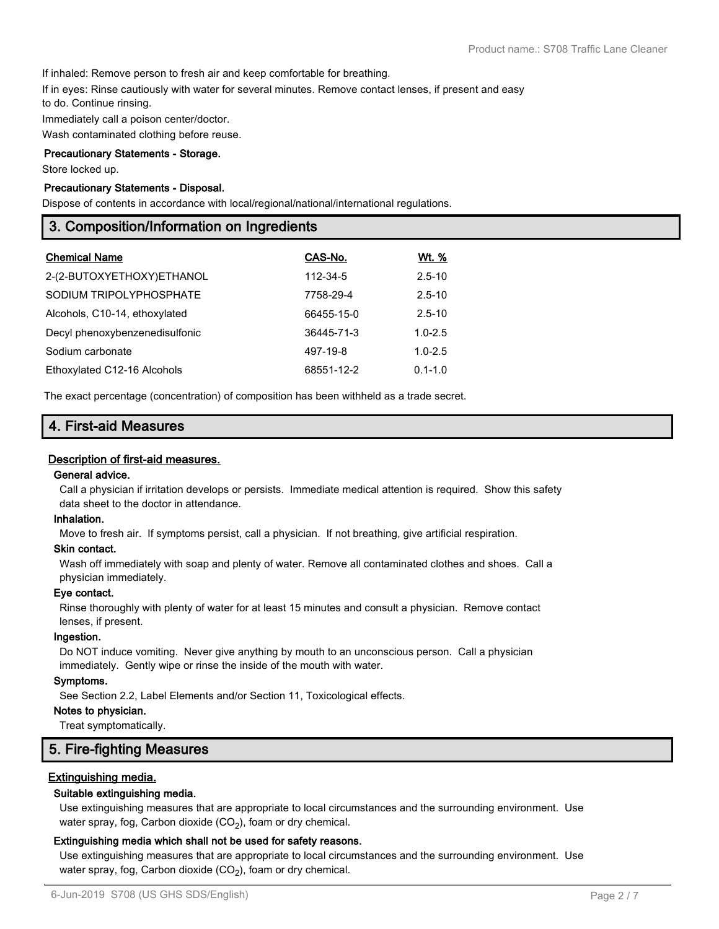If inhaled: Remove person to fresh air and keep comfortable for breathing.

If in eyes: Rinse cautiously with water for several minutes. Remove contact lenses, if present and easy

to do. Continue rinsing.

Immediately call a poison center/doctor.

Wash contaminated clothing before reuse.

## **Precautionary Statements - Storage.**

Store locked up.

## **Precautionary Statements - Disposal.**

Dispose of contents in accordance with local/regional/national/international regulations.

# **3. Composition/Information on Ingredients**

| <b>Chemical Name</b>           | CAS-No.    | Wt. %       |
|--------------------------------|------------|-------------|
| 2-(2-BUTOXYETHOXY)ETHANOL      | 112-34-5   | $2.5 - 10$  |
| SODIUM TRIPOLYPHOSPHATE        | 7758-29-4  | $2.5 - 10$  |
| Alcohols, C10-14, ethoxylated  | 66455-15-0 | $2.5 - 10$  |
| Decyl phenoxybenzenedisulfonic | 36445-71-3 | $1.0 - 2.5$ |
| Sodium carbonate               | 497-19-8   | $1.0 - 2.5$ |
| Ethoxylated C12-16 Alcohols    | 68551-12-2 | $0.1 - 1.0$ |

The exact percentage (concentration) of composition has been withheld as a trade secret.

# **4. First-aid Measures**

#### **Description of first-aid measures.**

#### **General advice.**

Call a physician if irritation develops or persists. Immediate medical attention is required. Show this safety data sheet to the doctor in attendance.

#### **Inhalation.**

Move to fresh air. If symptoms persist, call a physician. If not breathing, give artificial respiration.

#### **Skin contact.**

Wash off immediately with soap and plenty of water. Remove all contaminated clothes and shoes. Call a physician immediately.

#### **Eye contact.**

Rinse thoroughly with plenty of water for at least 15 minutes and consult a physician. Remove contact lenses, if present.

#### **Ingestion.**

Do NOT induce vomiting. Never give anything by mouth to an unconscious person. Call a physician immediately. Gently wipe or rinse the inside of the mouth with water.

#### **Symptoms.**

See Section 2.2, Label Elements and/or Section 11, Toxicological effects.

## **Notes to physician.**

Treat symptomatically.

# **5. Fire-fighting Measures**

# **Extinguishing media.**

#### **Suitable extinguishing media.**

Use extinguishing measures that are appropriate to local circumstances and the surrounding environment. Use water spray, fog, Carbon dioxide (CO<sub>2</sub>), foam or dry chemical.

#### **Extinguishing media which shall not be used for safety reasons.**

Use extinguishing measures that are appropriate to local circumstances and the surrounding environment. Use water spray, fog, Carbon dioxide (CO<sub>2</sub>), foam or dry chemical.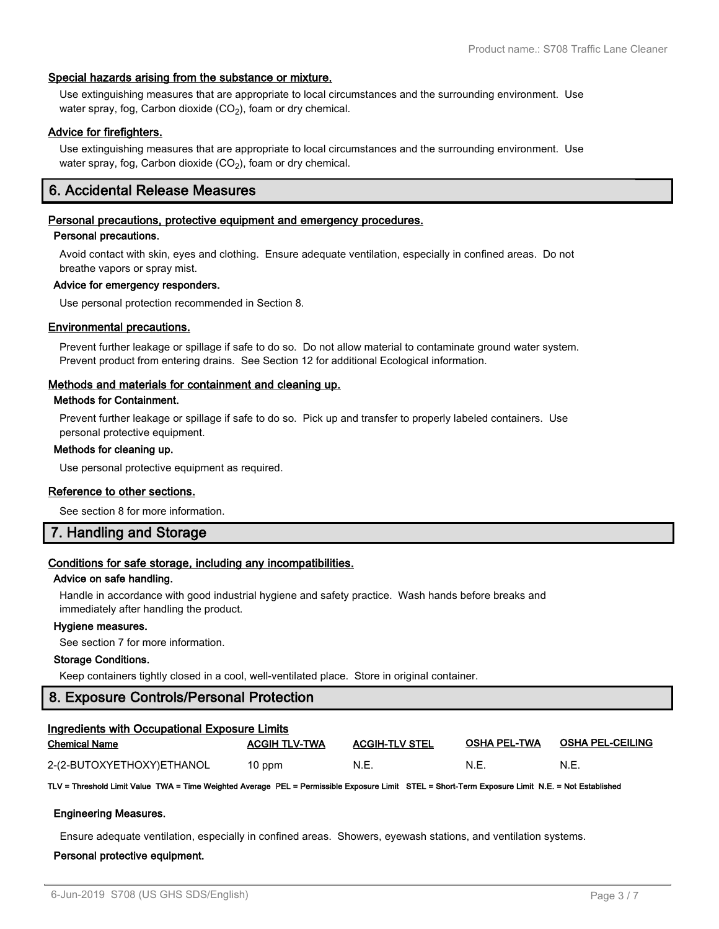#### **Special hazards arising from the substance or mixture.**

Use extinguishing measures that are appropriate to local circumstances and the surrounding environment. Use water spray, fog, Carbon dioxide (CO $_2$ ), foam or dry chemical.

## **Advice for firefighters.**

Use extinguishing measures that are appropriate to local circumstances and the surrounding environment. Use water spray, fog, Carbon dioxide (CO $_2$ ), foam or dry chemical.

# **6. Accidental Release Measures**

#### **Personal precautions, protective equipment and emergency procedures.**

#### **Personal precautions.**

Avoid contact with skin, eyes and clothing. Ensure adequate ventilation, especially in confined areas. Do not breathe vapors or spray mist.

#### **Advice for emergency responders.**

Use personal protection recommended in Section 8.

#### **Environmental precautions.**

Prevent further leakage or spillage if safe to do so. Do not allow material to contaminate ground water system. Prevent product from entering drains. See Section 12 for additional Ecological information.

#### **Methods and materials for containment and cleaning up.**

#### **Methods for Containment.**

Prevent further leakage or spillage if safe to do so. Pick up and transfer to properly labeled containers. Use personal protective equipment.

#### **Methods for cleaning up.**

Use personal protective equipment as required.

#### **Reference to other sections.**

See section 8 for more information.

# **7. Handling and Storage**

# **Conditions for safe storage, including any incompatibilities.**

## **Advice on safe handling.**

Handle in accordance with good industrial hygiene and safety practice. Wash hands before breaks and immediately after handling the product.

#### **Hygiene measures.**

See section 7 for more information.

#### **Storage Conditions.**

Keep containers tightly closed in a cool, well-ventilated place. Store in original container.

# **8. Exposure Controls/Personal Protection**

| Ingredients with Occupational Exposure Limits |                      |                       |                     |                         |  |
|-----------------------------------------------|----------------------|-----------------------|---------------------|-------------------------|--|
| <b>Chemical Name</b>                          | <b>ACGIH TLV-TWA</b> | <b>ACGIH-TLV STEL</b> | <b>OSHA PEL-TWA</b> | <b>OSHA PEL-CEILING</b> |  |
| 2-(2-BUTOXYETHOXY)ETHANOL                     | $10$ ppm             | N.E                   | N.E.                | N.E                     |  |

**TLV = Threshold Limit Value TWA = Time Weighted Average PEL = Permissible Exposure Limit STEL = Short-Term Exposure Limit N.E. = Not Established**

#### **Engineering Measures.**

Ensure adequate ventilation, especially in confined areas. Showers, eyewash stations, and ventilation systems.

#### **Personal protective equipment.**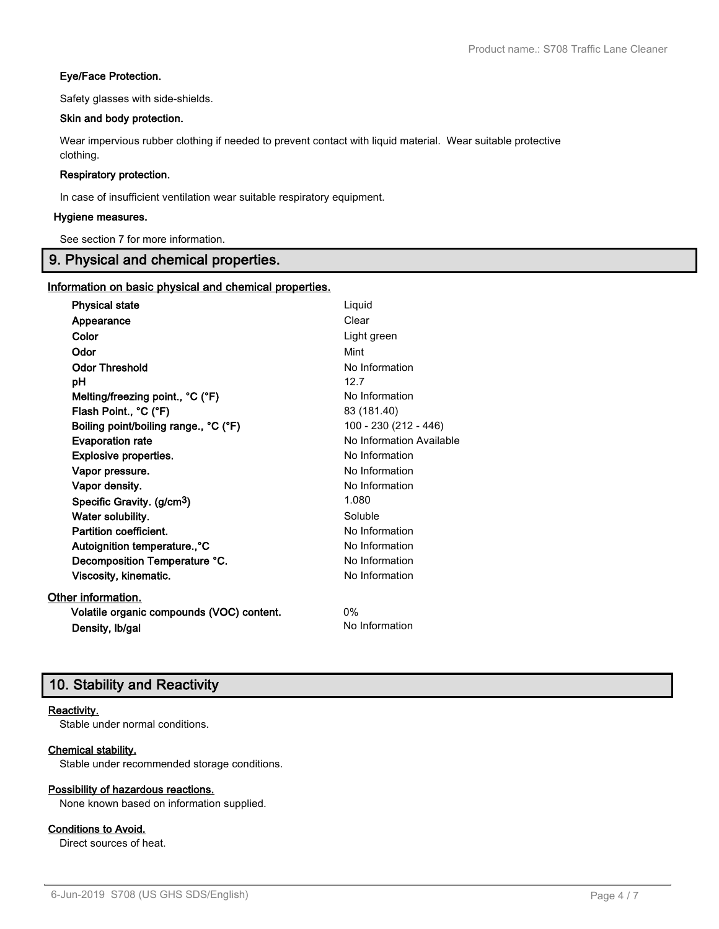# **Eye/Face Protection.**

Safety glasses with side-shields.

# **Skin and body protection.**

Wear impervious rubber clothing if needed to prevent contact with liquid material. Wear suitable protective clothing.

## **Respiratory protection.**

In case of insufficient ventilation wear suitable respiratory equipment.

## **Hygiene measures.**

See section 7 for more information.

# **9. Physical and chemical properties.**

# **Information on basic physical and chemical properties.**

| <b>Physical state</b>                     | Liquid                   |
|-------------------------------------------|--------------------------|
| Appearance                                | Clear                    |
| Color                                     | Light green              |
| Odor                                      | Mint                     |
| <b>Odor Threshold</b>                     | No Information           |
| рH                                        | 12.7                     |
| Melting/freezing point., °C (°F)          | No Information           |
| Flash Point., °C (°F)                     | 83 (181.40)              |
| Boiling point/boiling range., °C (°F)     | 100 - 230 (212 - 446)    |
| <b>Evaporation rate</b>                   | No Information Available |
| <b>Explosive properties.</b>              | No Information           |
| Vapor pressure.                           | No Information           |
| Vapor density.                            | No Information           |
| Specific Gravity. (g/cm <sup>3</sup> )    | 1.080                    |
| Water solubility.                         | Soluble                  |
| Partition coefficient.                    | No Information           |
| Autoignition temperature., °C             | No Information           |
| Decomposition Temperature °C.             | No Information           |
| Viscosity, kinematic.                     | No Information           |
| Other information.                        |                          |
| Volatile organic compounds (VOC) content. | $0\%$                    |
| Density, Ib/gal                           | No Information           |

# **10. Stability and Reactivity**

# **Reactivity.**

Stable under normal conditions.

# **Chemical stability.**

Stable under recommended storage conditions.

# **Possibility of hazardous reactions.**

None known based on information supplied.

# **Conditions to Avoid.**

Direct sources of heat.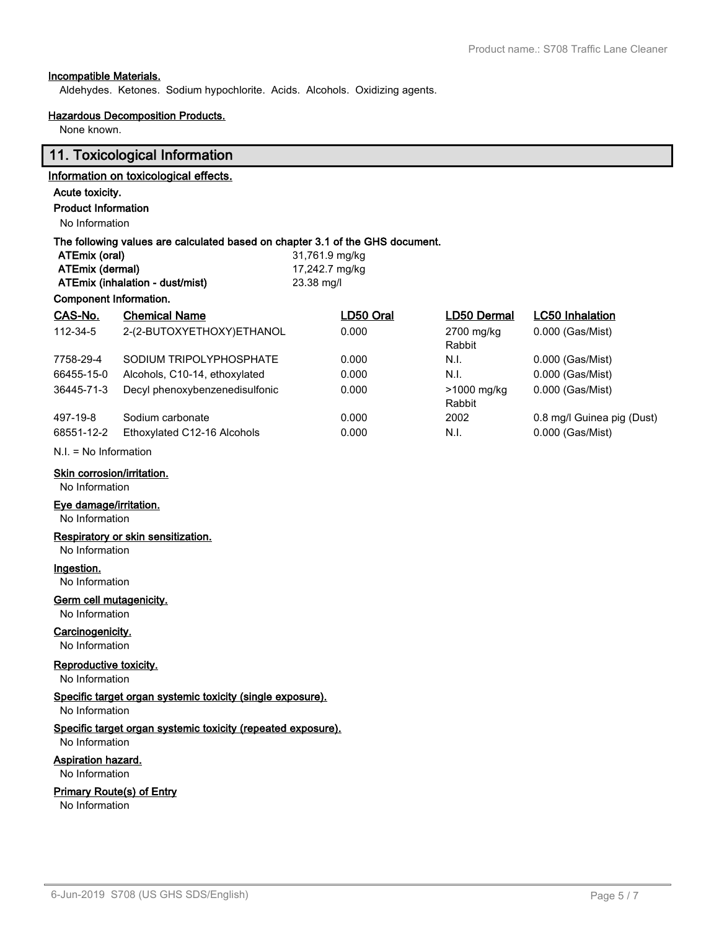# **Incompatible Materials.**

Aldehydes. Ketones. Sodium hypochlorite. Acids. Alcohols. Oxidizing agents.

#### **Hazardous Decomposition Products.**

None known.

# **11. Toxicological Information**

# **Information on toxicological effects.**

# **Acute toxicity.**

**Product Information**

# No Information

# **The following values are calculated based on chapter 3.1 of the GHS document.**

| ATEmix (oral)                   | 31,761.9 mg/kg |
|---------------------------------|----------------|
| ATEmix (dermal)                 | 17,242.7 mg/kg |
| ATEmix (inhalation - dust/mist) | 23.38 mg/l     |

# **Component Information.**

| CAS-No.    | <b>Chemical Name</b>           | LD50 Oral | LD50 Dermal | <b>LC50 Inhalation</b>     |
|------------|--------------------------------|-----------|-------------|----------------------------|
| 112-34-5   | 2-(2-BUTOXYETHOXY)ETHANOL      | 0.000     | 2700 mg/kg  | 0.000 (Gas/Mist)           |
|            |                                |           | Rabbit      |                            |
| 7758-29-4  | SODIUM TRIPOLYPHOSPHATE        | 0.000     | N.I.        | 0.000 (Gas/Mist)           |
| 66455-15-0 | Alcohols, C10-14, ethoxylated  | 0.000     | N.I.        | 0.000 (Gas/Mist)           |
| 36445-71-3 | Decyl phenoxybenzenedisulfonic | 0.000     | >1000 mg/kg | 0.000 (Gas/Mist)           |
|            |                                |           | Rabbit      |                            |
| 497-19-8   | Sodium carbonate               | 0.000     | 2002        | 0.8 mg/l Guinea pig (Dust) |
| 68551-12-2 | Ethoxylated C12-16 Alcohols    | 0.000     | N.I.        | 0.000 (Gas/Mist)           |
|            |                                |           |             |                            |

## N.I. = No Information

#### **Skin corrosion/irritation.**

No Information

# **Eye damage/irritation.**

No Information

# **Respiratory or skin sensitization.**

No Information

# **Ingestion.**

No Information

# **Germ cell mutagenicity.**

No Information

# **Carcinogenicity.**

No Information

# **Reproductive toxicity.**

No Information

# **Specific target organ systemic toxicity (single exposure).**

No Information

#### **Specific target organ systemic toxicity (repeated exposure).** No Information

# **Aspiration hazard.**

No Information

#### **Primary Route(s) of Entry**

No Information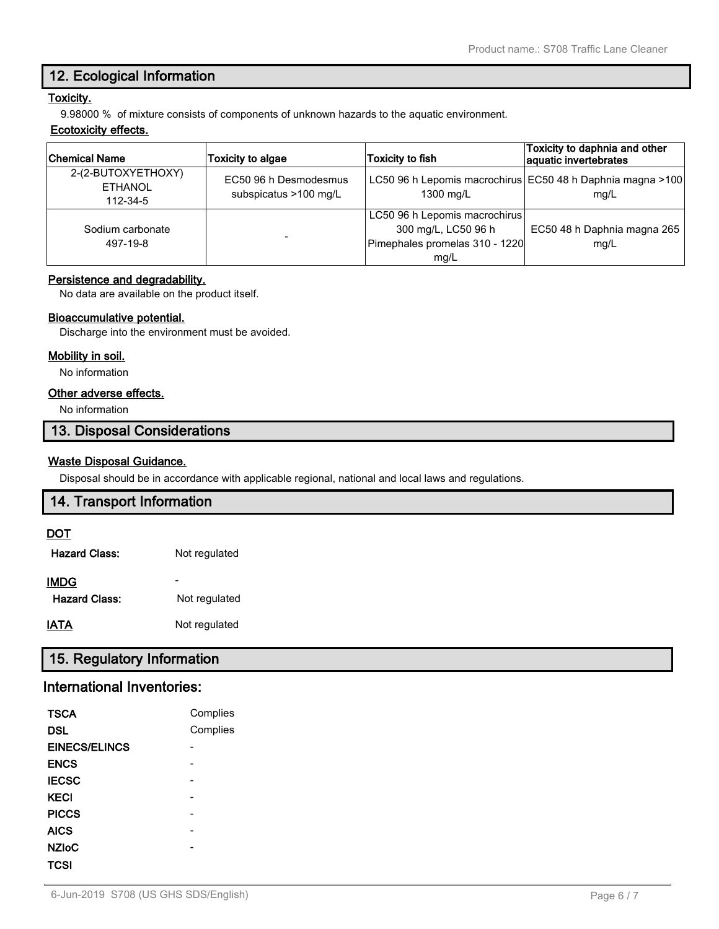# **12. Ecological Information**

# **Toxicity.**

9.98000 % of mixture consists of components of unknown hazards to the aquatic environment.

## **Ecotoxicity effects.**

| <b>Chemical Name</b>                             | Toxicity to algae                              | <b>Toxicity to fish</b>                                                                        | Toxicity to daphnia and other<br>aquatic invertebrates             |
|--------------------------------------------------|------------------------------------------------|------------------------------------------------------------------------------------------------|--------------------------------------------------------------------|
| 2-(2-BUTOXYETHOXY)<br><b>ETHANOL</b><br>112-34-5 | EC50 96 h Desmodesmus<br>subspicatus >100 mg/L | 1300 mg/L                                                                                      | LC50 96 h Lepomis macrochirus EC50 48 h Daphnia magna >100<br>mq/L |
| Sodium carbonate<br>497-19-8                     |                                                | LC50 96 h Lepomis macrochirus<br>300 mg/L, LC50 96 h<br>Pimephales promelas 310 - 1220<br>mq/L | EC50 48 h Daphnia magna 265<br>mg/L                                |

# **Persistence and degradability.**

No data are available on the product itself.

# **Bioaccumulative potential.**

Discharge into the environment must be avoided.

# **Mobility in soil.**

No information

# **Other adverse effects.**

No information

# **13. Disposal Considerations**

# **Waste Disposal Guidance.**

Disposal should be in accordance with applicable regional, national and local laws and regulations.

# **14. Transport Information**

# **DOT**

| <b>Hazard Class:</b> | Not regulated |
|----------------------|---------------|
| <b>IMDG</b>          |               |
| <b>Hazard Class:</b> | Not regulated |
| <b>IATA</b>          | Not regulated |

# **15. Regulatory Information**

# **International Inventories:**

| <b>TSCA</b>          | Complies |
|----------------------|----------|
| <b>DSL</b>           | Complies |
| <b>EINECS/ELINCS</b> |          |
| <b>ENCS</b>          |          |
| <b>IECSC</b>         |          |
| <b>KECI</b>          |          |
| <b>PICCS</b>         |          |
| <b>AICS</b>          |          |
| <b>NZIoC</b>         |          |
| TCSI                 |          |